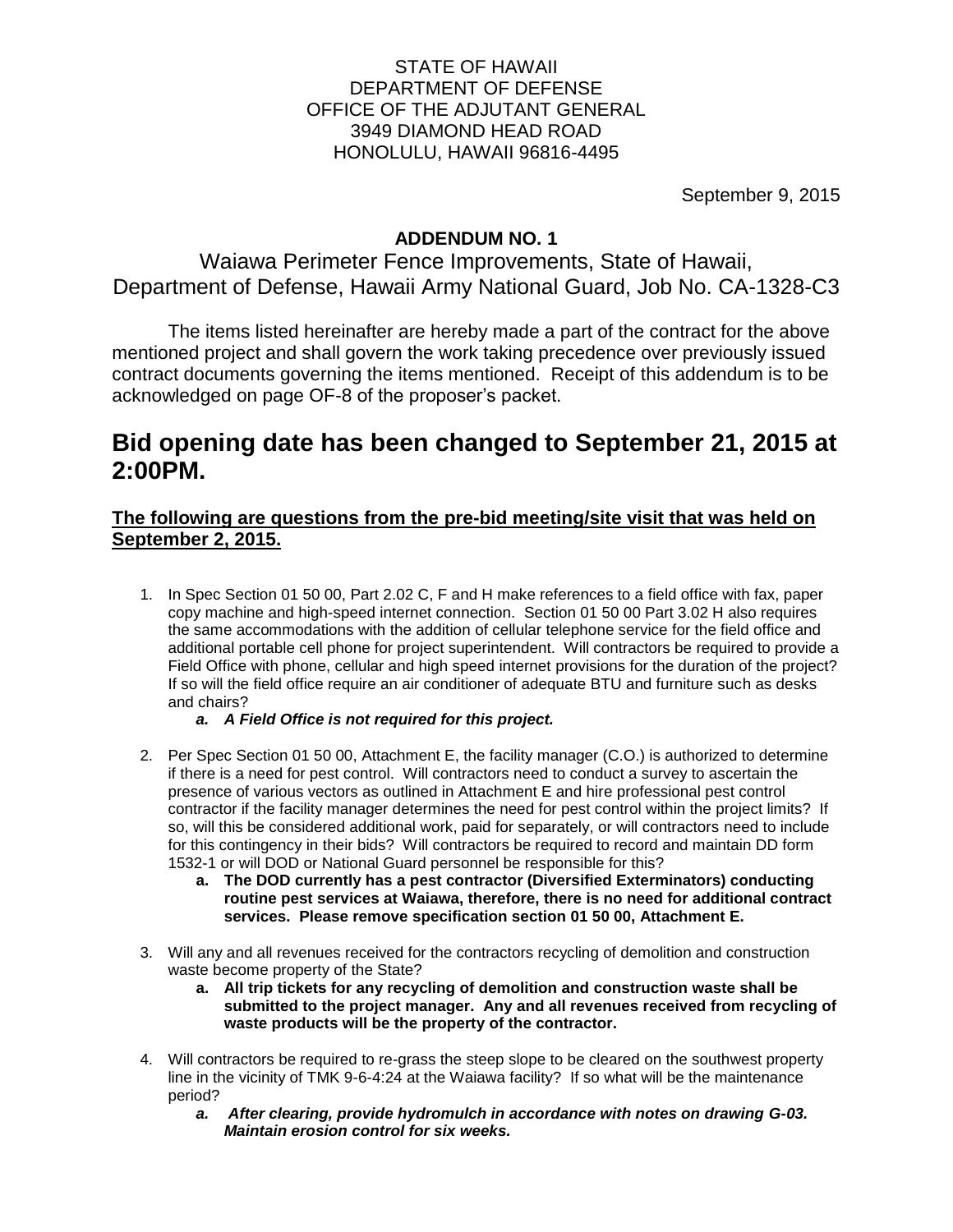### STATE OF HAWAII DEPARTMENT OF DEFENSE OFFICE OF THE ADJUTANT GENERAL 3949 DIAMOND HEAD ROAD HONOLULU, HAWAII 96816-4495

September 9, 2015

## **ADDENDUM NO. 1**

Waiawa Perimeter Fence Improvements, State of Hawaii, Department of Defense, Hawaii Army National Guard, Job No. CA-1328-C3

The items listed hereinafter are hereby made a part of the contract for the above mentioned project and shall govern the work taking precedence over previously issued contract documents governing the items mentioned. Receipt of this addendum is to be acknowledged on page OF-8 of the proposer's packet.

# **Bid opening date has been changed to September 21, 2015 at 2:00PM.**

## **The following are questions from the pre-bid meeting/site visit that was held on September 2, 2015.**

- 1. In Spec Section 01 50 00, Part 2.02 C, F and H make references to a field office with fax, paper copy machine and high-speed internet connection. Section 01 50 00 Part 3.02 H also requires the same accommodations with the addition of cellular telephone service for the field office and additional portable cell phone for project superintendent. Will contractors be required to provide a Field Office with phone, cellular and high speed internet provisions for the duration of the project? If so will the field office require an air conditioner of adequate BTU and furniture such as desks and chairs?
	- *a. A Field Office is not required for this project.*
- 2. Per Spec Section 01 50 00, Attachment E, the facility manager (C.O.) is authorized to determine if there is a need for pest control. Will contractors need to conduct a survey to ascertain the presence of various vectors as outlined in Attachment E and hire professional pest control contractor if the facility manager determines the need for pest control within the project limits? If so, will this be considered additional work, paid for separately, or will contractors need to include for this contingency in their bids? Will contractors be required to record and maintain DD form 1532-1 or will DOD or National Guard personnel be responsible for this?
	- **a. The DOD currently has a pest contractor (Diversified Exterminators) conducting routine pest services at Waiawa, therefore, there is no need for additional contract services. Please remove specification section 01 50 00, Attachment E.**
- 3. Will any and all revenues received for the contractors recycling of demolition and construction waste become property of the State?
	- **a. All trip tickets for any recycling of demolition and construction waste shall be submitted to the project manager. Any and all revenues received from recycling of waste products will be the property of the contractor.**
- 4. Will contractors be required to re-grass the steep slope to be cleared on the southwest property line in the vicinity of TMK 9-6-4:24 at the Waiawa facility? If so what will be the maintenance period?
	- *a. After clearing, provide hydromulch in accordance with notes on drawing G-03. Maintain erosion control for six weeks.*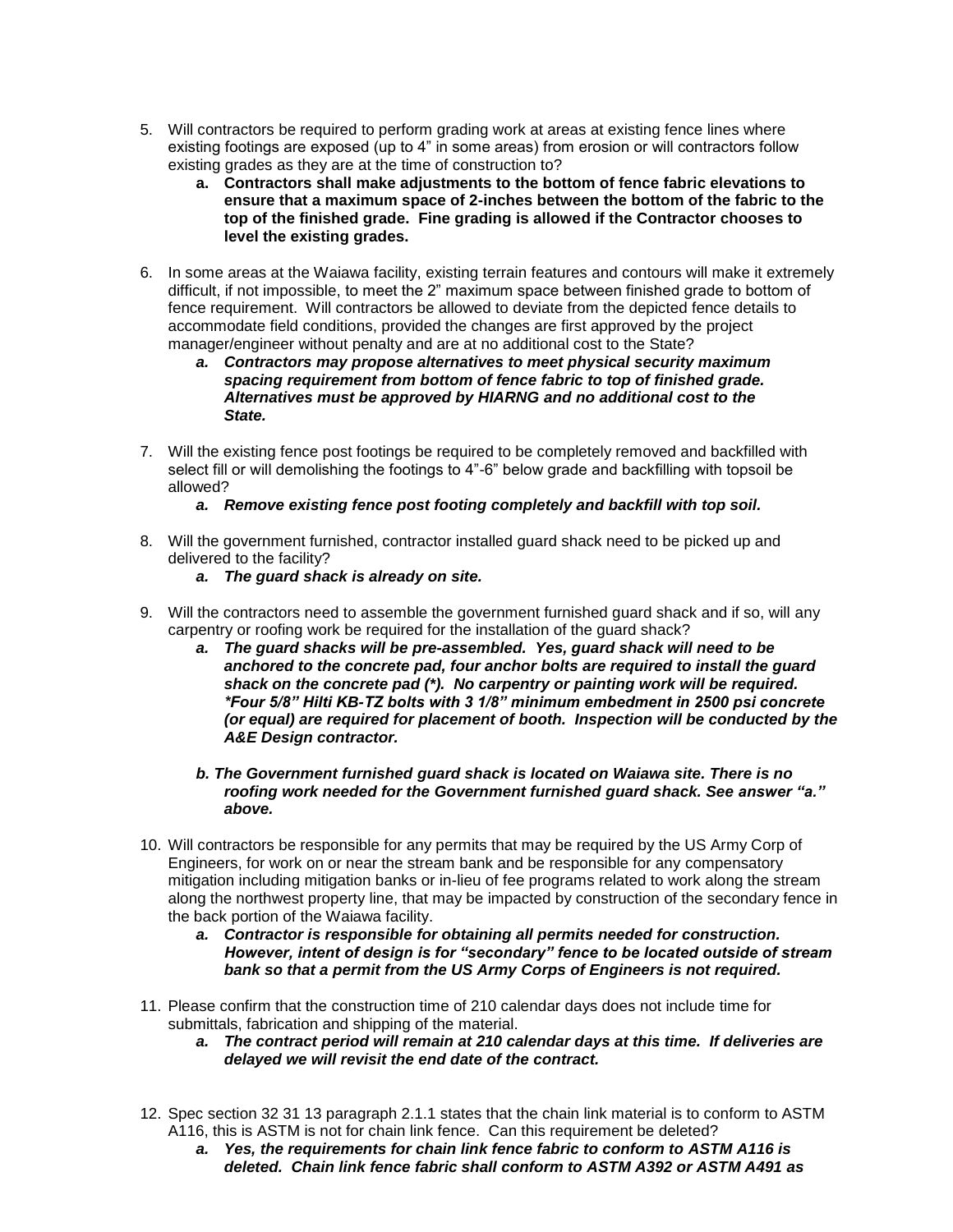- 5. Will contractors be required to perform grading work at areas at existing fence lines where existing footings are exposed (up to 4" in some areas) from erosion or will contractors follow existing grades as they are at the time of construction to?
	- **a. Contractors shall make adjustments to the bottom of fence fabric elevations to ensure that a maximum space of 2-inches between the bottom of the fabric to the top of the finished grade. Fine grading is allowed if the Contractor chooses to level the existing grades.**
- 6. In some areas at the Waiawa facility, existing terrain features and contours will make it extremely difficult, if not impossible, to meet the 2" maximum space between finished grade to bottom of fence requirement. Will contractors be allowed to deviate from the depicted fence details to accommodate field conditions, provided the changes are first approved by the project manager/engineer without penalty and are at no additional cost to the State?
	- *a. Contractors may propose alternatives to meet physical security maximum spacing requirement from bottom of fence fabric to top of finished grade. Alternatives must be approved by HIARNG and no additional cost to the State.*
- 7. Will the existing fence post footings be required to be completely removed and backfilled with select fill or will demolishing the footings to 4"-6" below grade and backfilling with topsoil be allowed?

### *a. Remove existing fence post footing completely and backfill with top soil.*

- 8. Will the government furnished, contractor installed guard shack need to be picked up and delivered to the facility?
	- *a. The guard shack is already on site.*
- 9. Will the contractors need to assemble the government furnished guard shack and if so, will any carpentry or roofing work be required for the installation of the guard shack?
	- *a. The guard shacks will be pre-assembled. Yes, guard shack will need to be anchored to the concrete pad, four anchor bolts are required to install the guard shack on the concrete pad (\*). No carpentry or painting work will be required. \*Four 5/8" Hilti KB-TZ bolts with 3 1/8" minimum embedment in 2500 psi concrete (or equal) are required for placement of booth. Inspection will be conducted by the A&E Design contractor.*

#### *b. The Government furnished guard shack is located on Waiawa site. There is no roofing work needed for the Government furnished guard shack. See answer "a." above.*

- 10. Will contractors be responsible for any permits that may be required by the US Army Corp of Engineers, for work on or near the stream bank and be responsible for any compensatory mitigation including mitigation banks or in-lieu of fee programs related to work along the stream along the northwest property line, that may be impacted by construction of the secondary fence in the back portion of the Waiawa facility.
	- *a. Contractor is responsible for obtaining all permits needed for construction. However, intent of design is for "secondary" fence to be located outside of stream bank so that a permit from the US Army Corps of Engineers is not required.*
- 11. Please confirm that the construction time of 210 calendar days does not include time for submittals, fabrication and shipping of the material.
	- *a. The contract period will remain at 210 calendar days at this time. If deliveries are delayed we will revisit the end date of the contract.*
- 12. Spec section 32 31 13 paragraph 2.1.1 states that the chain link material is to conform to ASTM A116, this is ASTM is not for chain link fence. Can this requirement be deleted?
	- *a. Yes, the requirements for chain link fence fabric to conform to ASTM A116 is deleted. Chain link fence fabric shall conform to ASTM A392 or ASTM A491 as*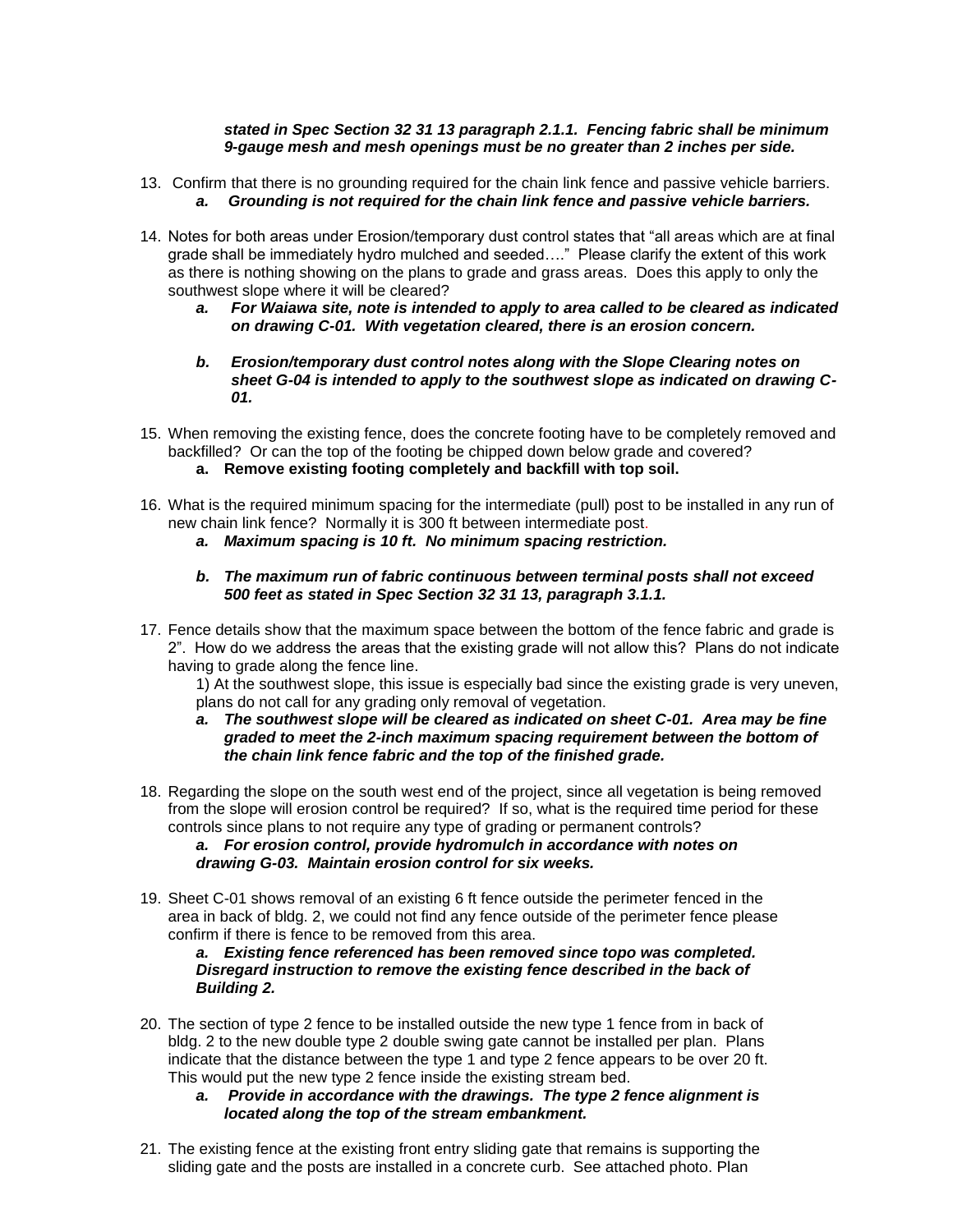#### *stated in Spec Section 32 31 13 paragraph 2.1.1. Fencing fabric shall be minimum 9-gauge mesh and mesh openings must be no greater than 2 inches per side.*

- 13. Confirm that there is no grounding required for the chain link fence and passive vehicle barriers. *a. Grounding is not required for the chain link fence and passive vehicle barriers.*
- 14. Notes for both areas under Erosion/temporary dust control states that "all areas which are at final grade shall be immediately hydro mulched and seeded…." Please clarify the extent of this work as there is nothing showing on the plans to grade and grass areas. Does this apply to only the southwest slope where it will be cleared?
	- *a. For Waiawa site, note is intended to apply to area called to be cleared as indicated on drawing C-01. With vegetation cleared, there is an erosion concern.*
	- *b. Erosion/temporary dust control notes along with the Slope Clearing notes on sheet G-04 is intended to apply to the southwest slope as indicated on drawing C-01.*
- 15. When removing the existing fence, does the concrete footing have to be completely removed and backfilled? Or can the top of the footing be chipped down below grade and covered?
	- **a. Remove existing footing completely and backfill with top soil.**
- 16. What is the required minimum spacing for the intermediate (pull) post to be installed in any run of new chain link fence? Normally it is 300 ft between intermediate post.
	- *a. Maximum spacing is 10 ft. No minimum spacing restriction.*
	- *b. The maximum run of fabric continuous between terminal posts shall not exceed 500 feet as stated in Spec Section 32 31 13, paragraph 3.1.1.*
- 17. Fence details show that the maximum space between the bottom of the fence fabric and grade is 2". How do we address the areas that the existing grade will not allow this? Plans do not indicate having to grade along the fence line.

1) At the southwest slope, this issue is especially bad since the existing grade is very uneven, plans do not call for any grading only removal of vegetation.

- *a. The southwest slope will be cleared as indicated on sheet C-01. Area may be fine graded to meet the 2-inch maximum spacing requirement between the bottom of the chain link fence fabric and the top of the finished grade.*
- 18. Regarding the slope on the south west end of the project, since all vegetation is being removed from the slope will erosion control be required? If so, what is the required time period for these controls since plans to not require any type of grading or permanent controls?

*a. For erosion control, provide hydromulch in accordance with notes on drawing G-03. Maintain erosion control for six weeks.*

19. Sheet C-01 shows removal of an existing 6 ft fence outside the perimeter fenced in the area in back of bldg. 2, we could not find any fence outside of the perimeter fence please confirm if there is fence to be removed from this area.

*a. Existing fence referenced has been removed since topo was completed. Disregard instruction to remove the existing fence described in the back of Building 2.*

- 20. The section of type 2 fence to be installed outside the new type 1 fence from in back of bldg. 2 to the new double type 2 double swing gate cannot be installed per plan. Plans indicate that the distance between the type 1 and type 2 fence appears to be over 20 ft. This would put the new type 2 fence inside the existing stream bed.
	- *a. Provide in accordance with the drawings. The type 2 fence alignment is located along the top of the stream embankment.*
- 21. The existing fence at the existing front entry sliding gate that remains is supporting the sliding gate and the posts are installed in a concrete curb. See attached photo. Plan